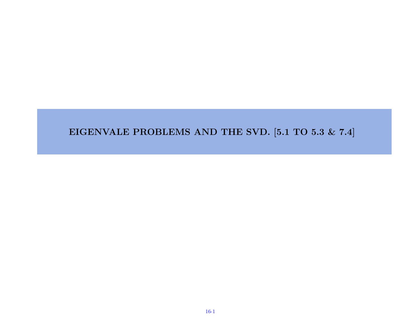#### EIGENVALE PROBLEMS AND THE SVD. [5.1 TO 5.3 & 7.4]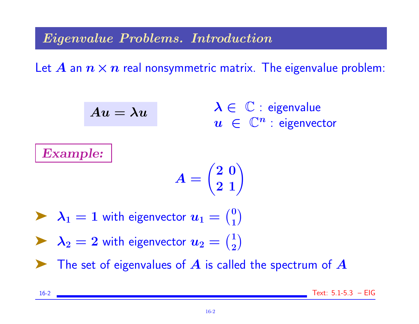Eigenvalue Problems. Introduction

Let A an  $n \times n$  real nonsymmetric matrix. The eigenvalue problem:

$$
Au=\lambda u
$$

 $\lambda \in \mathbb{C}$  : eigenvalue  $u \in \mathbb{C}^n$  : eigenvector

Example:

$$
A = \begin{pmatrix} 2 & 0 \\ 2 & 1 \end{pmatrix}
$$

 $\blacktriangleright$   $\lambda_1 = 1$  with eigenvector  $u_1 = \binom{0}{1}$ 1  $\big)$ 

 $\blacktriangleright$   $\lambda_2 = 2$  with eigenvector  $u_2 = \binom{1}{2}$ 2  $\big)$ 

The set of eigenvalues of  $\bm{A}$  is called the spectrum of  $\bm{A}$ 

16-2 Text: 5.1-5.3 – EIG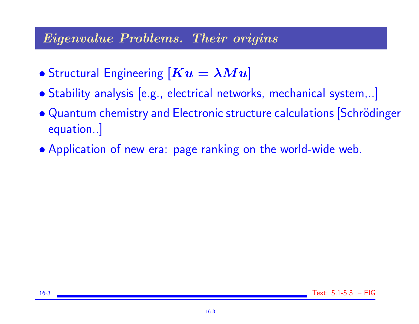### Eigenvalue Problems. Their origins

- Structural Engineering  $[Ku = \lambda Mu]$
- Stability analysis [e.g., electrical networks, mechanical system,..]
- Quantum chemistry and Electronic structure calculations Schrödinger equation..]
- Application of new era: page ranking on the world-wide web.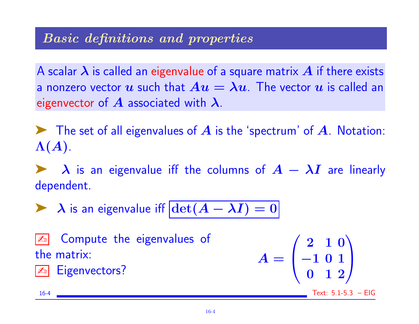### Basic definitions and properties

A scalar  $\lambda$  is called an eigenvalue of a square matrix  $A$  if there exists a nonzero vector u such that  $Au = \lambda u$ . The vector u is called an eigenvector of  $\boldsymbol{A}$  associated with  $\boldsymbol{\lambda}$ .

 $\blacktriangleright$  The set of all eigenvalues of  $A$  is the 'spectrum' of  $A$ . Notation:  $\Lambda(A).$ 

 $\lambda$  is an eigenvalue iff the columns of  $A - \lambda I$  are linearly dependent.

A is an eigenvalue iff  $|\text{det}(A - \lambda I)| = 0$ 

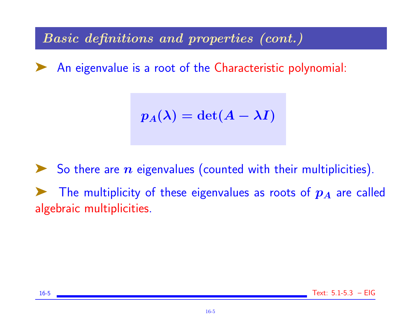Basic definitions and properties (cont.)

◆ An eigenvalue is a root of the Characteristic polynomial:

$$
p_A(\lambda) = \det(A - \lambda I)
$$

So there are  $n$  eigenvalues (counted with their multiplicities). The multiplicity of these eigenvalues as roots of  $p_A$  are called algebraic multiplicities.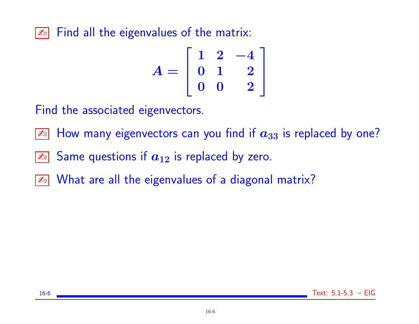$\boxed{\mathbb{Z}^n}$  Find all the eigenvalues of the matrix:

$$
A = \left[ \begin{array}{rrr} 1 & 2 & -4 \\ 0 & 1 & 2 \\ 0 & 0 & 2 \end{array} \right]
$$

Find the associated eigenvectors.

 $\boxed{\mathbb{Z}^n}$  How many eigenvectors can you find if  $a_{33}$  is replaced by one?

- $\boxed{\mathbb{Z}^n}$  Same questions if  $a_{12}$  is replaced by zero.
- **Ext** What are all the eigenvalues of a diagonal matrix?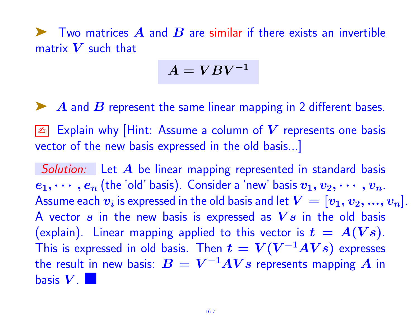$\blacktriangleright$  Two matrices  $\blacktriangle$  and  $\blacktriangleright$  are similar if there exists an invertible matrix  $V$  such that

$$
A = VBV^{-1}
$$

A and B represent the same linear mapping in 2 different bases.

 $\boxed{\mathbb{Z}^n}$  Explain why [Hint: Assume a column of V represents one basis vector of the new basis expressed in the old basis...]

Solution: Let  $A$  be linear mapping represented in standard basis  $e_1, \cdots, e_n$  (the 'old' basis). Consider a 'new' basis  $v_1, v_2, \cdots, v_n$ . Assume each  $\bm{v_i}$  is expressed in the old basis and let  $\bm{V} = [\bm{v_1, v_2, ..., v_n}].$ A vector  $s$  in the new basis is expressed as  $Vs$  in the old basis (explain). Linear mapping applied to this vector is  $t = A(Vs)$ . This is expressed in old basis. Then  $t=V(V^{-1}AVs)$  expresses the result in new basis:  $\boldsymbol{B} = \boldsymbol{V}^{-1} \boldsymbol{A} \boldsymbol{V} \boldsymbol{s}$  represents mapping  $\boldsymbol{A}$  in basis  $V$ .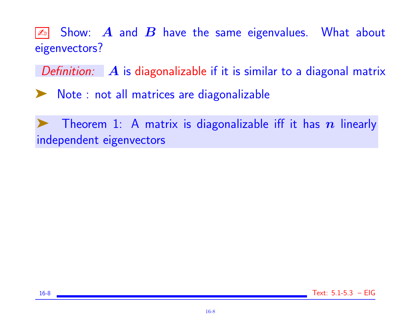$\boxed{\mathbb{Z}^n}$  Show:  $\bm{A}$  and  $\bm{B}$  have the same eigenvalues. What about eigenvectors?

Definition:  $\mathbf{A}$  is diagonalizable if it is similar to a diagonal matrix

➤ Note : not all matrices are diagonalizable

Theorem 1: A matrix is diagonalizable iff it has  $n$  linearly independent eigenvectors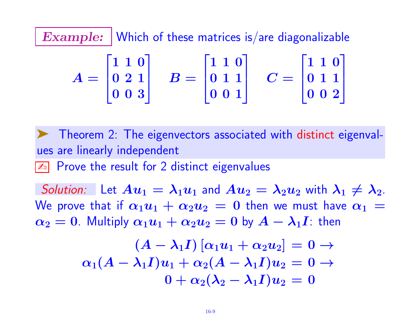Example: | Which of these matrices is/are diagonalizable

$$
A = \begin{bmatrix} 1 & 1 & 0 \\ 0 & 2 & 1 \\ 0 & 0 & 3 \end{bmatrix} \quad B = \begin{bmatrix} 1 & 1 & 0 \\ 0 & 1 & 1 \\ 0 & 0 & 1 \end{bmatrix} \quad C = \begin{bmatrix} 1 & 1 & 0 \\ 0 & 1 & 1 \\ 0 & 0 & 2 \end{bmatrix}
$$

➤ Theorem 2: The eigenvectors associated with distinct eigenvalues are linearly independent

 $\boxed{\mathbb{Z}^n}$  Prove the result for 2 distinct eigenvalues

Solution: Let  $Au_1 = \lambda_1 u_1$  and  $Au_2 = \lambda_2 u_2$  with  $\lambda_1 \neq \lambda_2$ . We prove that if  $\alpha_1u_1 + \alpha_2u_2 = 0$  then we must have  $\alpha_1 =$  $\alpha_2 = 0$ . Multiply  $\alpha_1 u_1 + \alpha_2 u_2 = 0$  by  $A - \lambda_1 I$ : then

$$
\begin{array}{c}\n(A-\lambda_1I)[\alpha_1u_1+\alpha_2u_2]=0\rightarrow\\ \n\alpha_1(A-\lambda_1I)u_1+\alpha_2(A-\lambda_1I)u_2=0\rightarrow\\ \n0+\alpha_2(\lambda_2-\lambda_1I)u_2=0\n\end{array}
$$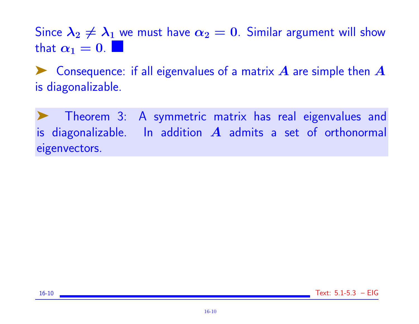Since  $\lambda_2 \neq \lambda_1$  we must have  $\alpha_2 = 0$ . Similar argument will show that  $\alpha_1 = 0$ .

 $\blacktriangleright$  Consequence: if all eigenvalues of a matrix  $A$  are simple then  $A$ is diagonalizable.

Theorem 3: A symmetric matrix has real eigenvalues and is diagonalizable. In addition  $A$  admits a set of orthonormal eigenvectors.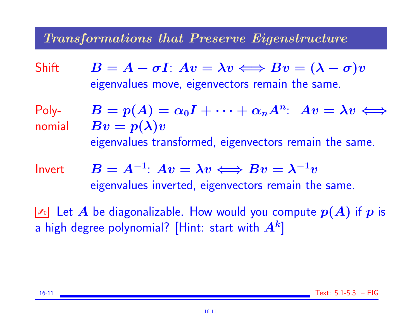### Transformations that Preserve Eigenstructure

Shift  $B = A - \sigma I$ :  $Av = \lambda v \Longleftrightarrow Bv = (\lambda - \sigma)v$ eigenvalues move, eigenvectors remain the same.

Poly-

- nomial  $Bv = p(\lambda)v$  $B = p(A) = \alpha_0 I + \cdots + \alpha_n A^n$ :  $Av = \lambda v \Leftrightarrow$ eigenvalues transformed, eigenvectors remain the same.
- Invert  $B = A^{-1}$ :  $Av = \lambda v \Longleftrightarrow Bv = \lambda^{-1}v$ eigenvalues inverted, eigenvectors remain the same.

 $\boxed{\mathbb{Z}}$  Let  $A$  be diagonalizable. How would you compute  $p(A)$  if  $p$  is a high degree polynomial? [Hint: start with  $\bm{A^k}]$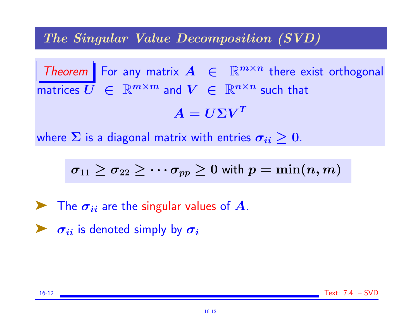### The Singular Value Decomposition (SVD)

Theorem For any matrix  $A \in \mathbb{R}^{m \times n}$  there exist orthogonal matrices  $\overline{U} \in \mathbb{R}^{m \times m}$  and  $V \in \mathbb{R}^{n \times n}$  such that  $A = U \Sigma V^T$ 

where  $\Sigma$  is a diagonal matrix with entries  $\sigma_{ii} \geq 0$ .

$$
\sigma_{11} \geq \sigma_{22} \geq \cdots \sigma_{pp} \geq 0 \text{ with } p = \min(n,m)
$$

 $\blacktriangleright$  The  $\sigma_{ii}$  are the singular values of A.

 $\blacktriangleright \sigma_{ii}$  is denoted simply by  $\sigma_i$ 



16-12 Text: 7.4 – SVD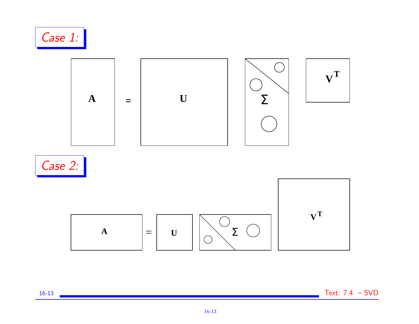

16-13 Text: 7.4 – SVD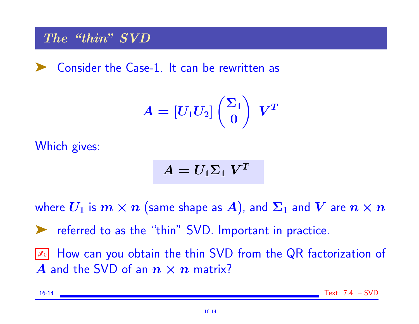### The "thin" SVD

➤ Consider the Case-1. It can be rewritten as

$$
A = \left[U_1 U_2\right]\binom{\Sigma_1}{0}\ \ V^T
$$

Which gives:

$$
A = U_1 \Sigma_1 \ V^T
$$

where  $U_1$  is  $m \times n$  (same shape as A), and  $\Sigma_1$  and  $V$  are  $n \times n$ 

➤ referred to as the "thin" SVD. Important in practice.

 $\boxed{\mathbb{Z}^n}$  How can you obtain the thin SVD from the QR factorization of A and the SVD of an  $n \times n$  matrix?

16-14 Text: 7.4 – SVD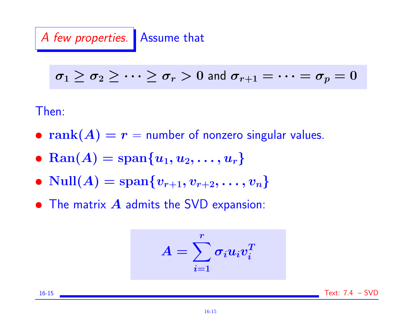A few properties. Assume that

$$
\sigma_1 \geq \sigma_2 \geq \cdots \geq \sigma_r > 0 \text{ and } \sigma_{r+1} = \cdots = \sigma_p = 0
$$

Then:

- rank $(A) = r =$  number of nonzero singular values.
- Ran(A) =  ${\rm span}\{u_1, u_2, \ldots, u_r\}$
- $Null(A) = span{v_{r+1}, v_{r+2}, \ldots, v_n}$
- $\bullet$  The matrix  $A$  admits the SVD expansion:

$$
A = \sum_{i=1}^r \sigma_i u_i v_i^T
$$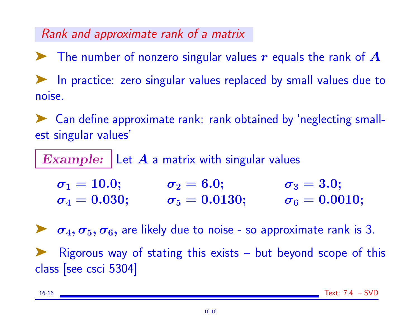## Rank and approximate rank of a matrix

 $\blacktriangleright$  The number of nonzero singular values r equals the rank of  $A$ ➤ In practice: zero singular values replaced by small values due to noise.

➤ Can define approximate rank: rank obtained by 'neglecting smallest singular values'

Example: Let  $A$  a matrix with singular values

| $\sigma_1=10.0;$  | $\sigma_2=6.0;$      | $\sigma_3 = 3.0;$    |
|-------------------|----------------------|----------------------|
| $\sigma_4=0.030;$ | $\sigma_5 = 0.0130;$ | $\sigma_6 = 0.0010;$ |

 $\sigma_4, \sigma_5, \sigma_6$ , are likely due to noise - so approximate rank is 3.

 $Rigorous$  way of stating this exists  $-$  but beyond scope of this class [see csci 5304]

16-16 Text: 7.4 – SVD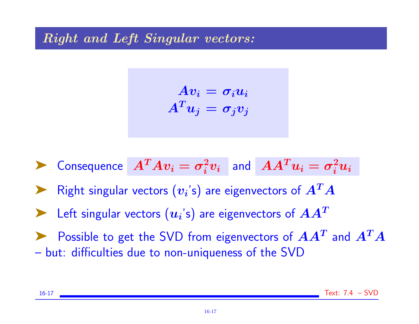### Right and Left Singular vectors:

$$
Av_i = \sigma_i u_i
$$

$$
A^T u_j = \sigma_j v_j
$$

$$
\blacktriangleright \text{ Consequence } A^T A v_i = \sigma_i^2 v_i \text{ and } AA^T u_i = \sigma_i^2 u_i
$$

Right singular vectors  $(v_i)$  are eigenvectors of  $A^T A$ 

 $\blacktriangleright$  Left singular vectors  $(u_i\text{'s})$  are eigenvectors of  $AA^T$ 

Possible to get the SVD from eigenvectors of  $AA<sup>T</sup>$  and  $A<sup>T</sup>A$ – but: difficulties due to non-uniqueness of the SVD

16-17 Text: 7.4 – SVD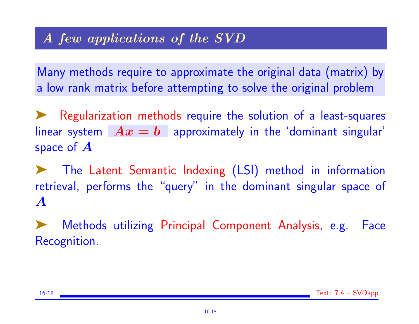# A few applications of the SVD

Many methods require to approximate the original data (matrix) by a low rank matrix before attempting to solve the original problem

➤ Regularization methods require the solution of a least-squares linear system  $Ax = b$  approximately in the 'dominant singular' space of  $\boldsymbol{A}$ 

➤ The Latent Semantic Indexing (LSI) method in information retrieval, performs the "query" in the dominant singular space of A

Methods utilizing Principal Component Analysis, e.g. Face Recognition.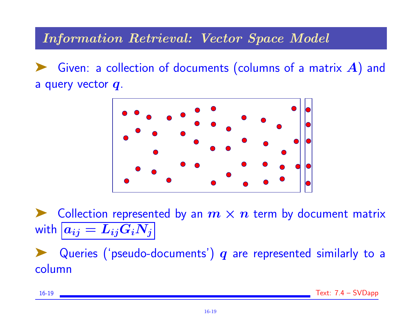### Information Retrieval: Vector Space Model

Given: a collection of documents (columns of a matrix  $A$ ) and a query vector q.



Collection represented by an  $m \times n$  term by document matrix with  $a_{ij} = L_{ij}G_iN_j$ 

Queries ('pseudo-documents')  $q$  are represented similarly to a column

16-19 Text: 7.4 – SVDapp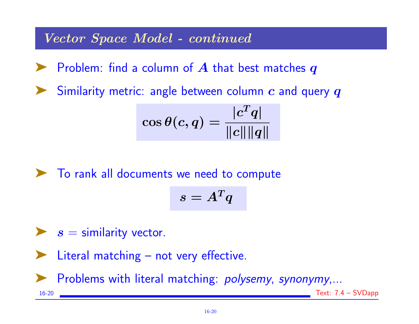Vector Space Model - continued

 $\blacktriangleright$  Problem: find a column of  $A$  that best matches  $q$ 

Similarity metric: angle between column  $c$  and query  $q$ 

$$
\cos \theta(c,q) = \frac{|c^T q|}{\|c\| \|q\|}
$$

➤ To rank all documents we need to compute

$$
s=A^Tq
$$

 $\blacktriangleright$  s = similarity vector.

Literal matching – not very effective.

Problems with literal matching: *polysemy, synonymy*,...

16-20 Text: 7.4 – SVDapp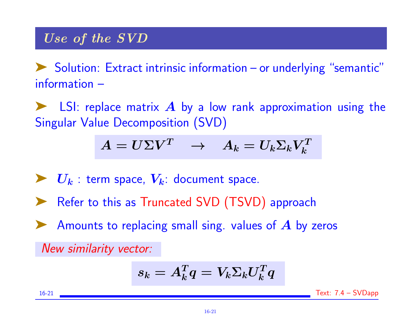Solution: Extract intrinsic information – or underlying "semantic" information –

 $\blacktriangleright$  LSI: replace matrix  $\bm{A}$  by a low rank approximation using the Singular Value Decomposition (SVD)

$$
A = U\Sigma V^T \quad \rightarrow \quad A_k = U_k \Sigma_k V_k^T
$$

- $\blacktriangleright U_k$ : term space,  $V_k$ : document space.
- Refer to this as Truncated SVD (TSVD) approach
- Amounts to replacing small sing. values of  $\boldsymbol{A}$  by zeros

New similarity vector:

$$
s_k = A_k^T q = V_k \Sigma_k U_k^T q
$$

16-21 Text: 7.4 – SVDapp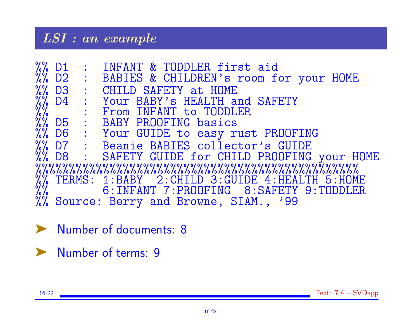### LSI : an example

|  | %% D1 : INFANT & TODDLER first aid<br>%% D2 : BABIES & CHILDREN's room for your HOME                                                                                                                                                        |
|--|---------------------------------------------------------------------------------------------------------------------------------------------------------------------------------------------------------------------------------------------|
|  |                                                                                                                                                                                                                                             |
|  | W. D3 : CHILD SAFETY at HOME<br>W. D4 : Your BABY's HEALTH and SAFETY<br>W. D5 : BABY PROOFING basics<br>W. D6 : Your GUIDE to easy rust PROOFING<br>W. D7 : Beanie BABIES collector's GUIDE<br>W. D7 : Beanie BABIES collector's GUIDE<br> |
|  |                                                                                                                                                                                                                                             |
|  |                                                                                                                                                                                                                                             |
|  |                                                                                                                                                                                                                                             |
|  |                                                                                                                                                                                                                                             |
|  |                                                                                                                                                                                                                                             |
|  |                                                                                                                                                                                                                                             |
|  |                                                                                                                                                                                                                                             |
|  | %% TERMS: 1:BABY 2:CHILD 3:GUIDE 4:HEALTH 5:HOME<br>%% 6:INFANT 7:PROOFING 8:SAFETY 9:TODDLER<br>%% Source: Berry and Browne, SIAM., '99                                                                                                    |
|  |                                                                                                                                                                                                                                             |
|  |                                                                                                                                                                                                                                             |

➤ Number of documents: 8

➤ Number of terms: 9